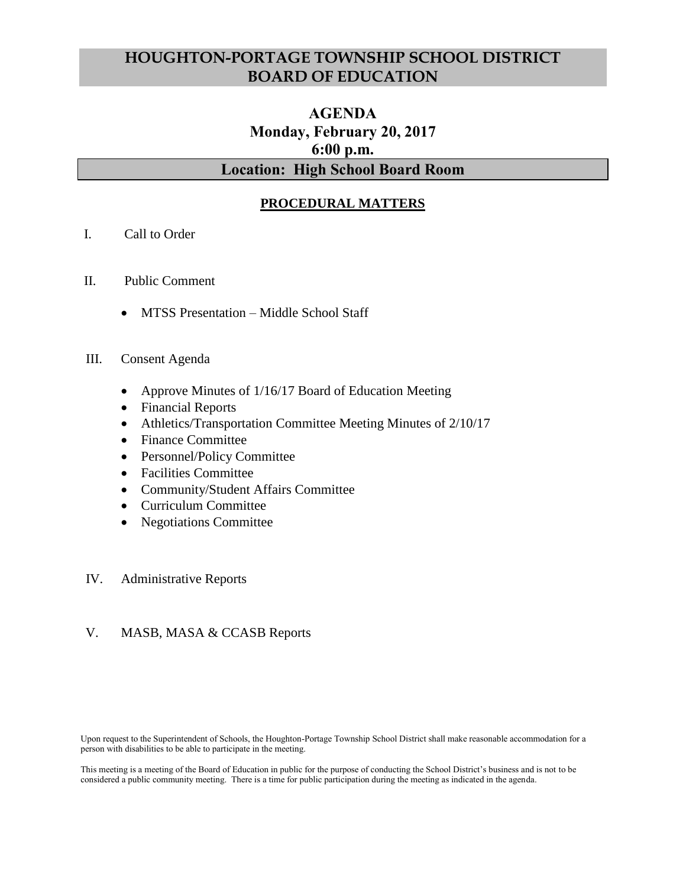# **HOUGHTON-PORTAGE TOWNSHIP SCHOOL DISTRICT BOARD OF EDUCATION**

# **AGENDA Monday, February 20, 2017 6:00 p.m. Location: High School Board Room**

## **PROCEDURAL MATTERS**

- I. Call to Order
- II. Public Comment
	- MTSS Presentation Middle School Staff

#### III. Consent Agenda

- Approve Minutes of 1/16/17 Board of Education Meeting
- Financial Reports
- Athletics/Transportation Committee Meeting Minutes of 2/10/17
- Finance Committee
- Personnel/Policy Committee
- Facilities Committee
- Community/Student Affairs Committee
- Curriculum Committee
- Negotiations Committee

#### IV. Administrative Reports

#### V. MASB, MASA & CCASB Reports

Upon request to the Superintendent of Schools, the Houghton-Portage Township School District shall make reasonable accommodation for a person with disabilities to be able to participate in the meeting.

This meeting is a meeting of the Board of Education in public for the purpose of conducting the School District's business and is not to be considered a public community meeting. There is a time for public participation during the meeting as indicated in the agenda.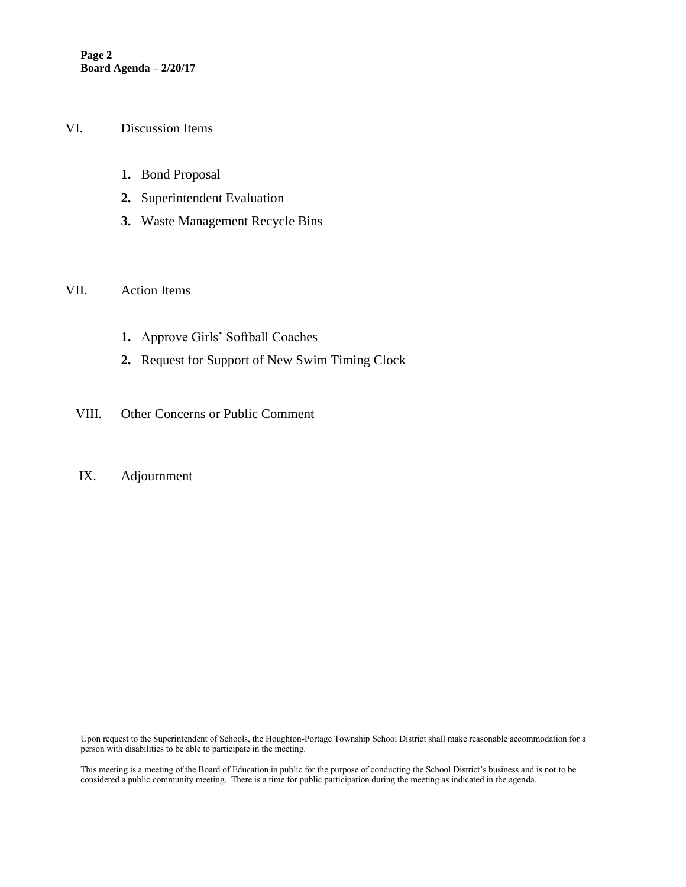#### VI. Discussion Items

- **1.** Bond Proposal
- **2.** Superintendent Evaluation
- **3.** Waste Management Recycle Bins

#### VII. Action Items

- **1.** Approve Girls' Softball Coaches
- **2.** Request for Support of New Swim Timing Clock
- VIII. Other Concerns or Public Comment

## IX. Adjournment

Upon request to the Superintendent of Schools, the Houghton-Portage Township School District shall make reasonable accommodation for a person with disabilities to be able to participate in the meeting.

This meeting is a meeting of the Board of Education in public for the purpose of conducting the School District's business and is not to be considered a public community meeting. There is a time for public participation during the meeting as indicated in the agenda.